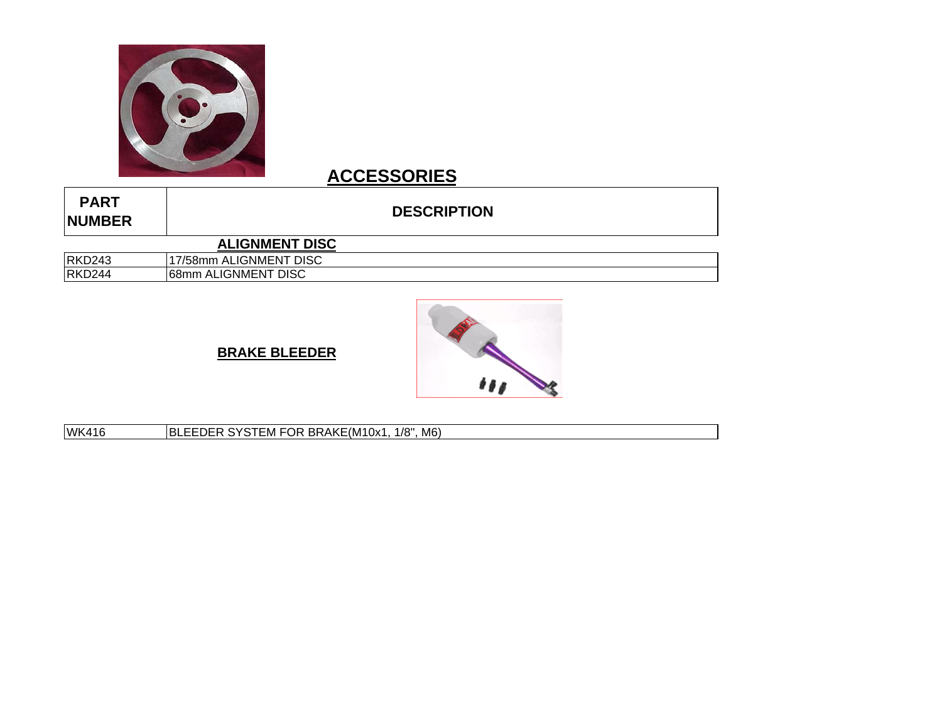

# **ACCESSORIES**

| <b>PART</b><br><b>NUMBER</b> | <b>DESCRIPTION</b>     |  |
|------------------------------|------------------------|--|
|                              | <b>ALIGNMENT DISC</b>  |  |
| <b>RKD243</b>                | 17/58mm ALIGNMENT DISC |  |
| <b>RKD244</b>                | 68mm ALIGNMENT DISC    |  |





WK416 BLEEDER SYSTEM FOR BRAKE(M10x1, 1/8", M6)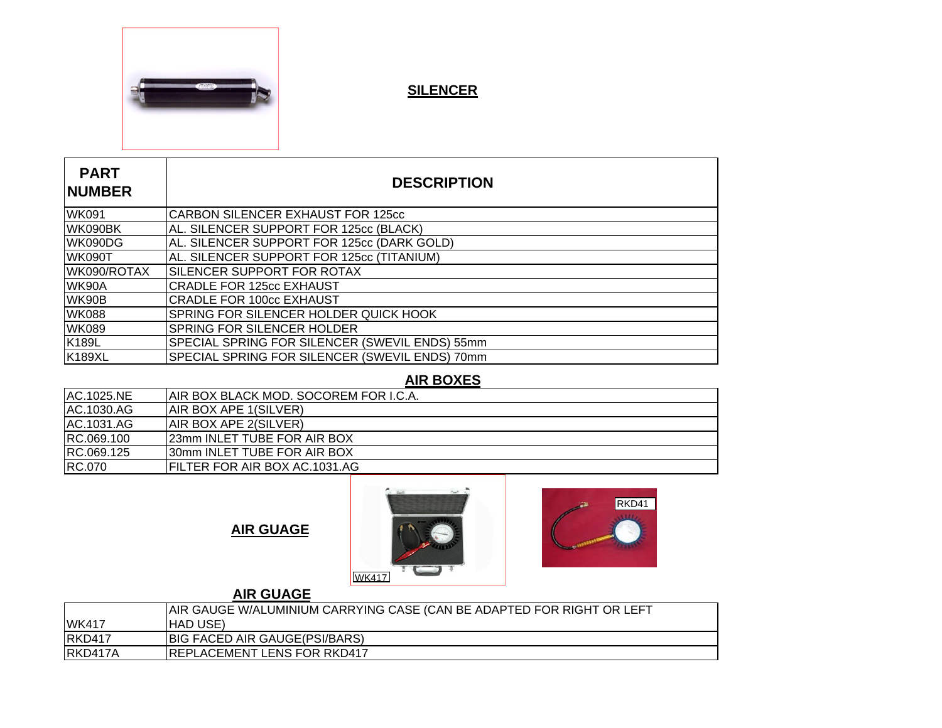

 $\mathbb{R}^2$ 

**SILENCER**

| <b>PART</b><br><b>NUMBER</b> | <b>DESCRIPTION</b>                             |
|------------------------------|------------------------------------------------|
| <b>WK091</b>                 | <b>CARBON SILENCER EXHAUST FOR 125cc</b>       |
| WK090BK                      | AL. SILENCER SUPPORT FOR 125cc (BLACK)         |
| WK090DG                      | AL. SILENCER SUPPORT FOR 125cc (DARK GOLD)     |
| <b>WK090T</b>                | AL. SILENCER SUPPORT FOR 125cc (TITANIUM)      |
| WK090/ROTAX                  | SILENCER SUPPORT FOR ROTAX                     |
| WK90A                        | <b>CRADLE FOR 125cc EXHAUST</b>                |
| WK90B                        | <b>CRADLE FOR 100cc EXHAUST</b>                |
| <b>WK088</b>                 | <b>SPRING FOR SILENCER HOLDER QUICK HOOK</b>   |
| <b>WK089</b>                 | <b>SPRING FOR SILENCER HOLDER</b>              |
| <b>K189L</b>                 | SPECIAL SPRING FOR SILENCER (SWEVIL ENDS) 55mm |
| <b>K189XL</b>                | SPECIAL SPRING FOR SILENCER (SWEVIL ENDS) 70mm |

### **AIR BOXES**

| IAIR BOX BLACK MOD. SOCOREM FOR I.C.A. |
|----------------------------------------|
| <b>AIR BOX APE 1(SILVER)</b>           |
| <b>AIR BOX APE 2(SILVER)</b>           |
| 23mm INLET TUBE FOR AIR BOX            |
| 30mm INLET TUBE FOR AIR BOX            |
| <b>IFILTER FOR AIR BOX AC.1031.AG</b>  |
|                                        |

 **AIR GUAGE**





## **AIR GUAGE**

|               | AIR GAUGE W/ALUMINIUM CARRYING CASE (CAN BE ADAPTED FOR RIGHT OR LEFT |  |
|---------------|-----------------------------------------------------------------------|--|
| <b>WK417</b>  | IHAD USE)                                                             |  |
| <b>RKD417</b> | BIG FACED AIR GAUGE(PSI/BARS)                                         |  |
| RKD417A       | <b>IREPLACEMENT LENS FOR RKD417</b>                                   |  |